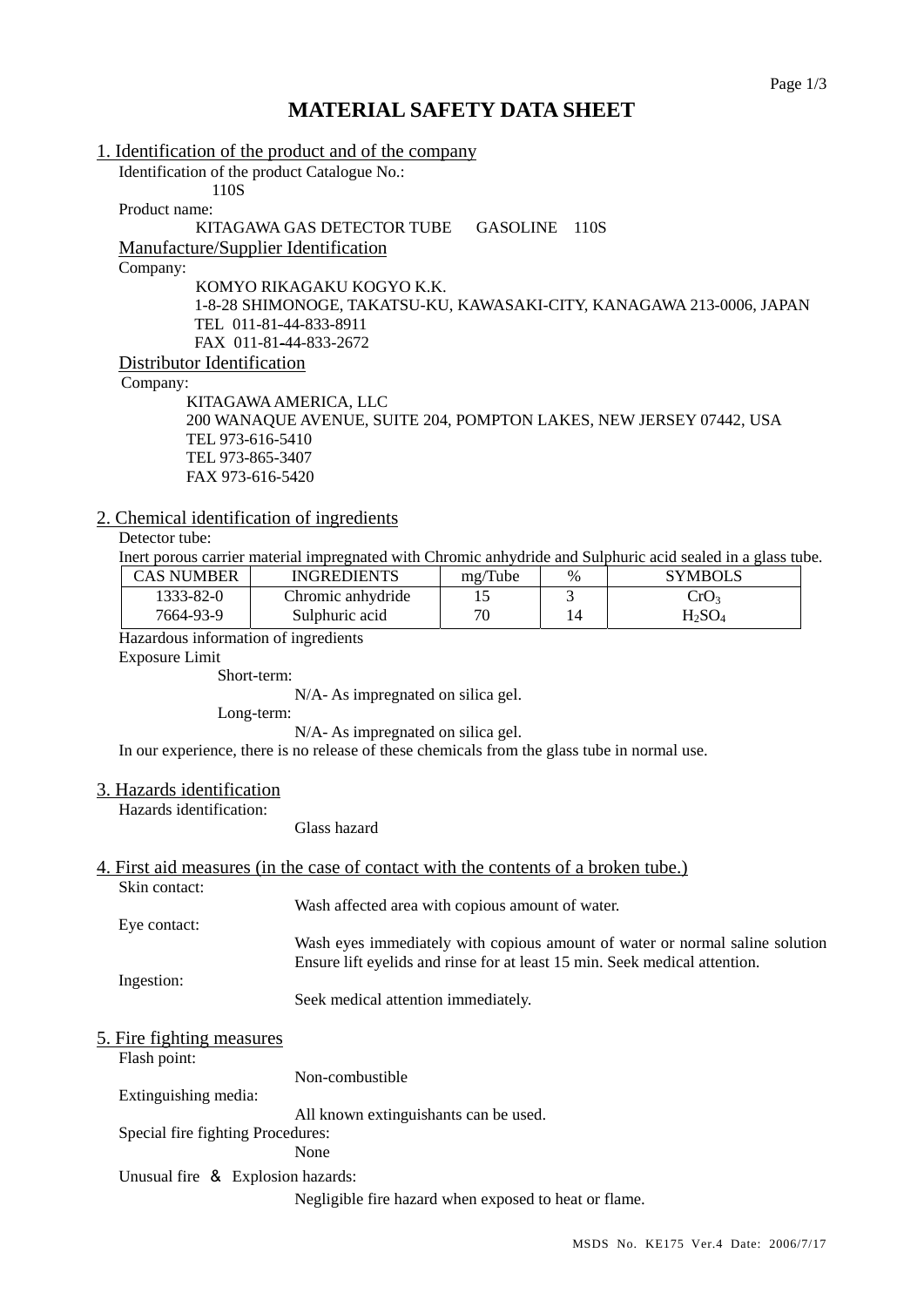# **MATERIAL SAFETY DATA SHEET**

|                                                                                              | 1. Identification of the product and of the company                                          |         |      |                                                                                                             |  |
|----------------------------------------------------------------------------------------------|----------------------------------------------------------------------------------------------|---------|------|-------------------------------------------------------------------------------------------------------------|--|
| 110S                                                                                         | Identification of the product Catalogue No.:                                                 |         |      |                                                                                                             |  |
| Product name:                                                                                |                                                                                              |         |      |                                                                                                             |  |
| KITAGAWA GAS DETECTOR TUBE<br><b>GASOLINE</b><br>110S                                        |                                                                                              |         |      |                                                                                                             |  |
|                                                                                              | Manufacture/Supplier Identification                                                          |         |      |                                                                                                             |  |
| Company:                                                                                     |                                                                                              |         |      |                                                                                                             |  |
|                                                                                              | KOMYO RIKAGAKU KOGYO K.K.                                                                    |         |      |                                                                                                             |  |
| 1-8-28 SHIMONOGE, TAKATSU-KU, KAWASAKI-CITY, KANAGAWA 213-0006, JAPAN                        |                                                                                              |         |      |                                                                                                             |  |
|                                                                                              | TEL 011-81-44-833-8911                                                                       |         |      |                                                                                                             |  |
|                                                                                              | FAX 011-81-44-833-2672                                                                       |         |      |                                                                                                             |  |
| Distributor Identification                                                                   |                                                                                              |         |      |                                                                                                             |  |
| Company:                                                                                     |                                                                                              |         |      |                                                                                                             |  |
| KITAGAWA AMERICA, LLC<br>200 WANAQUE AVENUE, SUITE 204, POMPTON LAKES, NEW JERSEY 07442, USA |                                                                                              |         |      |                                                                                                             |  |
| TEL 973-616-5410                                                                             |                                                                                              |         |      |                                                                                                             |  |
| TEL 973-865-3407                                                                             |                                                                                              |         |      |                                                                                                             |  |
| FAX 973-616-5420                                                                             |                                                                                              |         |      |                                                                                                             |  |
|                                                                                              |                                                                                              |         |      |                                                                                                             |  |
| 2. Chemical identification of ingredients                                                    |                                                                                              |         |      |                                                                                                             |  |
| Detector tube:                                                                               |                                                                                              |         |      |                                                                                                             |  |
|                                                                                              |                                                                                              |         |      | Inert porous carrier material impregnated with Chromic anhydride and Sulphuric acid sealed in a glass tube. |  |
| <b>CAS NUMBER</b>                                                                            | <b>INGREDIENTS</b>                                                                           | mg/Tube | $\%$ | <b>SYMBOLS</b>                                                                                              |  |
| 1333-82-0                                                                                    | Chromic anhydride                                                                            | 15      | 3    | CrO <sub>3</sub>                                                                                            |  |
| 7664-93-9                                                                                    | Sulphuric acid                                                                               | 70      | 14   | H <sub>2</sub> SO <sub>4</sub>                                                                              |  |
| Hazardous information of ingredients                                                         |                                                                                              |         |      |                                                                                                             |  |
| <b>Exposure Limit</b>                                                                        |                                                                                              |         |      |                                                                                                             |  |
|                                                                                              | Short-term:                                                                                  |         |      |                                                                                                             |  |
| N/A-As impregnated on silica gel.<br>Long-term:                                              |                                                                                              |         |      |                                                                                                             |  |
|                                                                                              | N/A-As impregnated on silica gel.                                                            |         |      |                                                                                                             |  |
|                                                                                              | In our experience, there is no release of these chemicals from the glass tube in normal use. |         |      |                                                                                                             |  |
|                                                                                              |                                                                                              |         |      |                                                                                                             |  |
| 3. Hazards identification                                                                    |                                                                                              |         |      |                                                                                                             |  |
| Hazards identification:                                                                      |                                                                                              |         |      |                                                                                                             |  |
|                                                                                              | Glass hazard                                                                                 |         |      |                                                                                                             |  |
|                                                                                              |                                                                                              |         |      |                                                                                                             |  |
|                                                                                              | 4. First aid measures (in the case of contact with the contents of a broken tube.)           |         |      |                                                                                                             |  |
| Skin contact:                                                                                |                                                                                              |         |      |                                                                                                             |  |
|                                                                                              | Wash affected area with copious amount of water.                                             |         |      |                                                                                                             |  |
| Eye contact:                                                                                 |                                                                                              |         |      | Wash eyes immediately with copious amount of water or normal saline solution                                |  |
|                                                                                              |                                                                                              |         |      | Ensure lift eyelids and rinse for at least 15 min. Seek medical attention.                                  |  |
| Ingestion:                                                                                   |                                                                                              |         |      |                                                                                                             |  |
|                                                                                              | Seek medical attention immediately.                                                          |         |      |                                                                                                             |  |
|                                                                                              |                                                                                              |         |      |                                                                                                             |  |
| <u>5. Fire fighting measures</u>                                                             |                                                                                              |         |      |                                                                                                             |  |
| Flash point:                                                                                 |                                                                                              |         |      |                                                                                                             |  |
|                                                                                              | Non-combustible                                                                              |         |      |                                                                                                             |  |
| Extinguishing media:                                                                         |                                                                                              |         |      |                                                                                                             |  |
|                                                                                              | All known extinguishants can be used.                                                        |         |      |                                                                                                             |  |
| Special fire fighting Procedures:                                                            |                                                                                              |         |      |                                                                                                             |  |
|                                                                                              | None                                                                                         |         |      |                                                                                                             |  |
| Unusual fire & Explosion hazards:                                                            |                                                                                              |         |      |                                                                                                             |  |

Negligible fire hazard when exposed to heat or flame.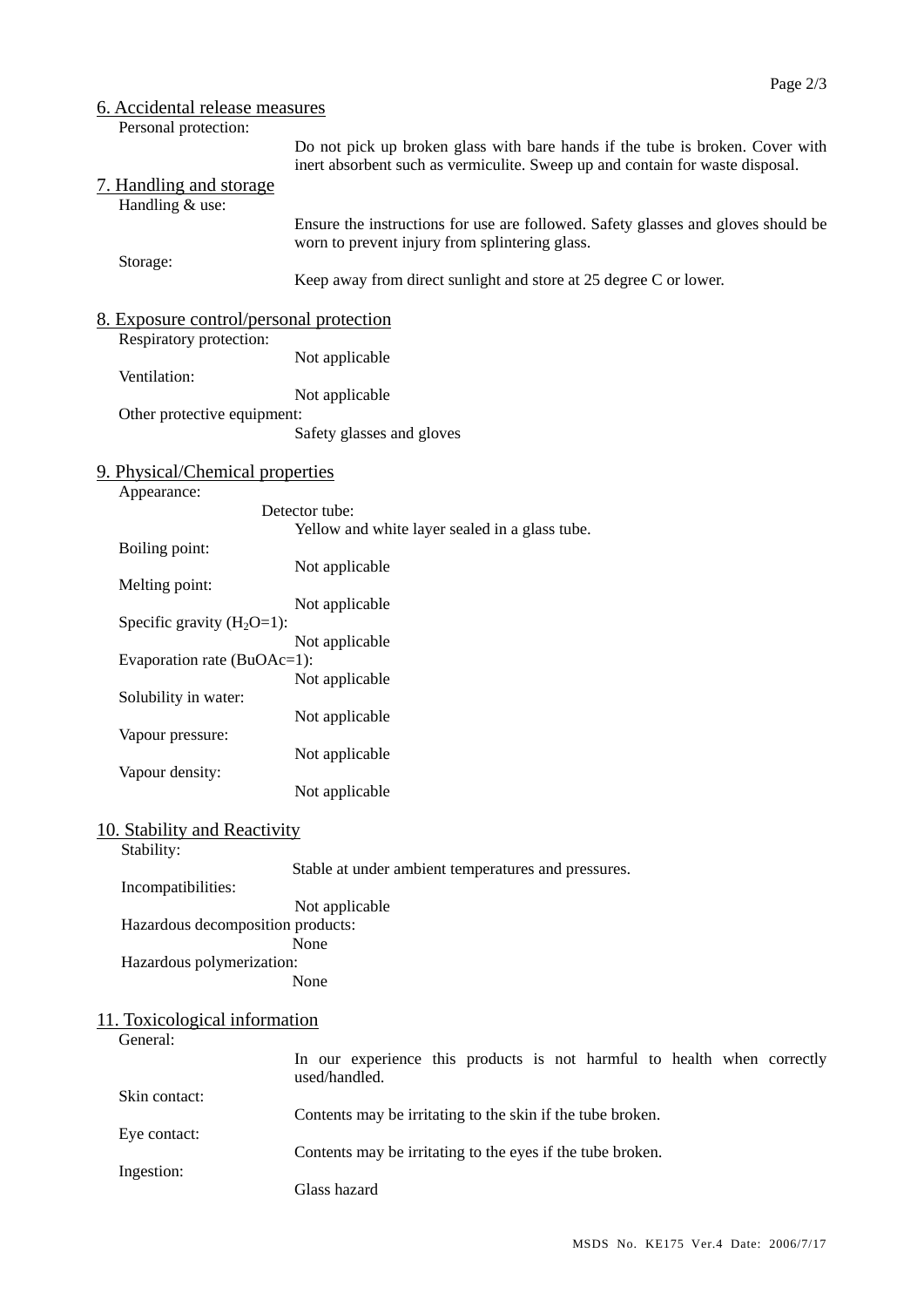| 6. Accidental release measures                                     |                                                                                                                                                                |  |  |  |  |
|--------------------------------------------------------------------|----------------------------------------------------------------------------------------------------------------------------------------------------------------|--|--|--|--|
| Personal protection:                                               |                                                                                                                                                                |  |  |  |  |
| 7. Handling and storage<br>Handling & use:                         | Do not pick up broken glass with bare hands if the tube is broken. Cover with<br>inert absorbent such as vermiculite. Sweep up and contain for waste disposal. |  |  |  |  |
| Storage:                                                           | Ensure the instructions for use are followed. Safety glasses and gloves should be<br>worn to prevent injury from splintering glass.                            |  |  |  |  |
|                                                                    | Keep away from direct sunlight and store at 25 degree C or lower.                                                                                              |  |  |  |  |
| 8. Exposure control/personal protection<br>Respiratory protection: |                                                                                                                                                                |  |  |  |  |
| Ventilation:                                                       | Not applicable                                                                                                                                                 |  |  |  |  |
|                                                                    | Not applicable                                                                                                                                                 |  |  |  |  |
| Other protective equipment:                                        | Safety glasses and gloves                                                                                                                                      |  |  |  |  |
| 9. Physical/Chemical properties<br>Appearance:                     |                                                                                                                                                                |  |  |  |  |
|                                                                    | Detector tube:                                                                                                                                                 |  |  |  |  |
| Boiling point:                                                     | Yellow and white layer sealed in a glass tube.                                                                                                                 |  |  |  |  |
| Melting point:                                                     | Not applicable                                                                                                                                                 |  |  |  |  |
| Specific gravity $(H_2O=1)$ :                                      | Not applicable                                                                                                                                                 |  |  |  |  |
| Evaporation rate (BuOAc=1):                                        | Not applicable                                                                                                                                                 |  |  |  |  |
|                                                                    | Not applicable                                                                                                                                                 |  |  |  |  |
| Solubility in water:                                               | Not applicable                                                                                                                                                 |  |  |  |  |
| Vapour pressure:                                                   | Not applicable                                                                                                                                                 |  |  |  |  |
| Vapour density:                                                    | Not applicable                                                                                                                                                 |  |  |  |  |
| 10. Stability and Reactivity                                       |                                                                                                                                                                |  |  |  |  |
| Stability:                                                         | Stable at under ambient temperatures and pressures.                                                                                                            |  |  |  |  |
| Incompatibilities:                                                 | Not applicable                                                                                                                                                 |  |  |  |  |
| Hazardous decomposition products:                                  | None                                                                                                                                                           |  |  |  |  |
| Hazardous polymerization:                                          | None                                                                                                                                                           |  |  |  |  |
| 11. Toxicological information<br>General:                          |                                                                                                                                                                |  |  |  |  |
|                                                                    | In our experience this products is not harmful to health when correctly<br>used/handled.                                                                       |  |  |  |  |
| Skin contact:                                                      | Contents may be irritating to the skin if the tube broken.                                                                                                     |  |  |  |  |
| Eye contact:                                                       | Contents may be irritating to the eyes if the tube broken.                                                                                                     |  |  |  |  |
| Ingestion:                                                         | Glass hazard                                                                                                                                                   |  |  |  |  |
|                                                                    |                                                                                                                                                                |  |  |  |  |